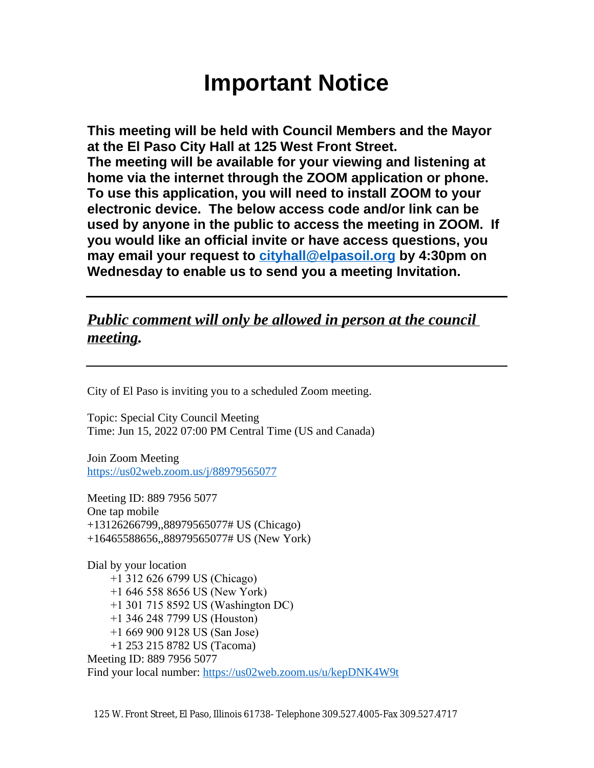# **Important Notice**

**This meeting will be held with Council Members and the Mayor at the El Paso City Hall at 125 West Front Street. The meeting will be available for your viewing and listening at home via the internet through the ZOOM application or phone. To use this application, you will need to install ZOOM to your electronic device. The below access code and/or link can be used by anyone in the public to access the meeting in ZOOM. If you would like an official invite or have access questions, you may email your request to [cityhall@elpasoil.org](mailto:cityhall@elpasoil.org) by 4:30pm on Wednesday to enable us to send you a meeting Invitation.**

# *Public comment will only be allowed in person at the council meeting.*

City of El Paso is inviting you to a scheduled Zoom meeting.

Topic: Special City Council Meeting Time: Jun 15, 2022 07:00 PM Central Time (US and Canada)

Join Zoom Meeting <https://us02web.zoom.us/j/88979565077>

Meeting ID: 889 7956 5077 One tap mobile +13126266799,,88979565077# US (Chicago) +16465588656,,88979565077# US (New York)

Dial by your location +1 312 626 6799 US (Chicago) +1 646 558 8656 US (New York) +1 301 715 8592 US (Washington DC) +1 346 248 7799 US (Houston) +1 669 900 9128 US (San Jose) +1 253 215 8782 US (Tacoma) Meeting ID: 889 7956 5077 Find your local number:<https://us02web.zoom.us/u/kepDNK4W9t>